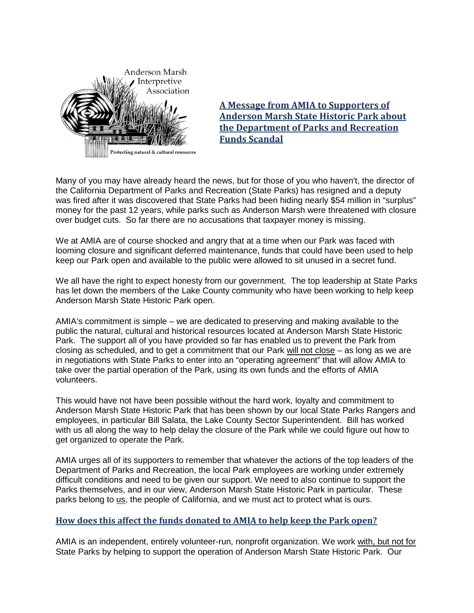

**A Message from AMIA to Supporters of Anderson Marsh State Historic Park about the Department of Parks and Recreation Funds Scandal**

Many of you may have already heard the news, but for those of you who haven't, the director of the California Department of Parks and Recreation (State Parks) has resigned and a deputy was fired after it was discovered that State Parks had been hiding nearly \$54 million in "surplus" money for the past 12 years, while parks such as Anderson Marsh were threatened with closure over budget cuts. So far there are no accusations that taxpayer money is missing.

We at AMIA are of course shocked and angry that at a time when our Park was faced with looming closure and significant deferred maintenance, funds that could have been used to help keep our Park open and available to the public were allowed to sit unused in a secret fund.

We all have the right to expect honesty from our government. The top leadership at State Parks has let down the members of the Lake County community who have been working to help keep Anderson Marsh State Historic Park open.

AMIA's commitment is simple – we are dedicated to preserving and making available to the public the natural, cultural and historical resources located at Anderson Marsh State Historic Park. The support all of you have provided so far has enabled us to prevent the Park from closing as scheduled, and to get a commitment that our Park will not close – as long as we are in negotiations with State Parks to enter into an "operating agreement" that will allow AMIA to take over the partial operation of the Park, using its own funds and the efforts of AMIA volunteers.

This would have not have been possible without the hard work, loyalty and commitment to Anderson Marsh State Historic Park that has been shown by our local State Parks Rangers and employees, in particular Bill Salata, the Lake County Sector Superintendent. Bill has worked with us all along the way to help delay the closure of the Park while we could figure out how to get organized to operate the Park.

AMIA urges all of its supporters to remember that whatever the actions of the top leaders of the Department of Parks and Recreation, the local Park employees are working under extremely difficult conditions and need to be given our support. We need to also continue to support the Parks themselves, and in our view, Anderson Marsh State Historic Park in particular. These parks belong to us, the people of California, and we must act to protect what is ours.

## **How does this affect the funds donated to AMIA to help keep the Park open?**

AMIA is an independent, entirely volunteer-run, nonprofit organization. We work with, but not for State Parks by helping to support the operation of Anderson Marsh State Historic Park. Our